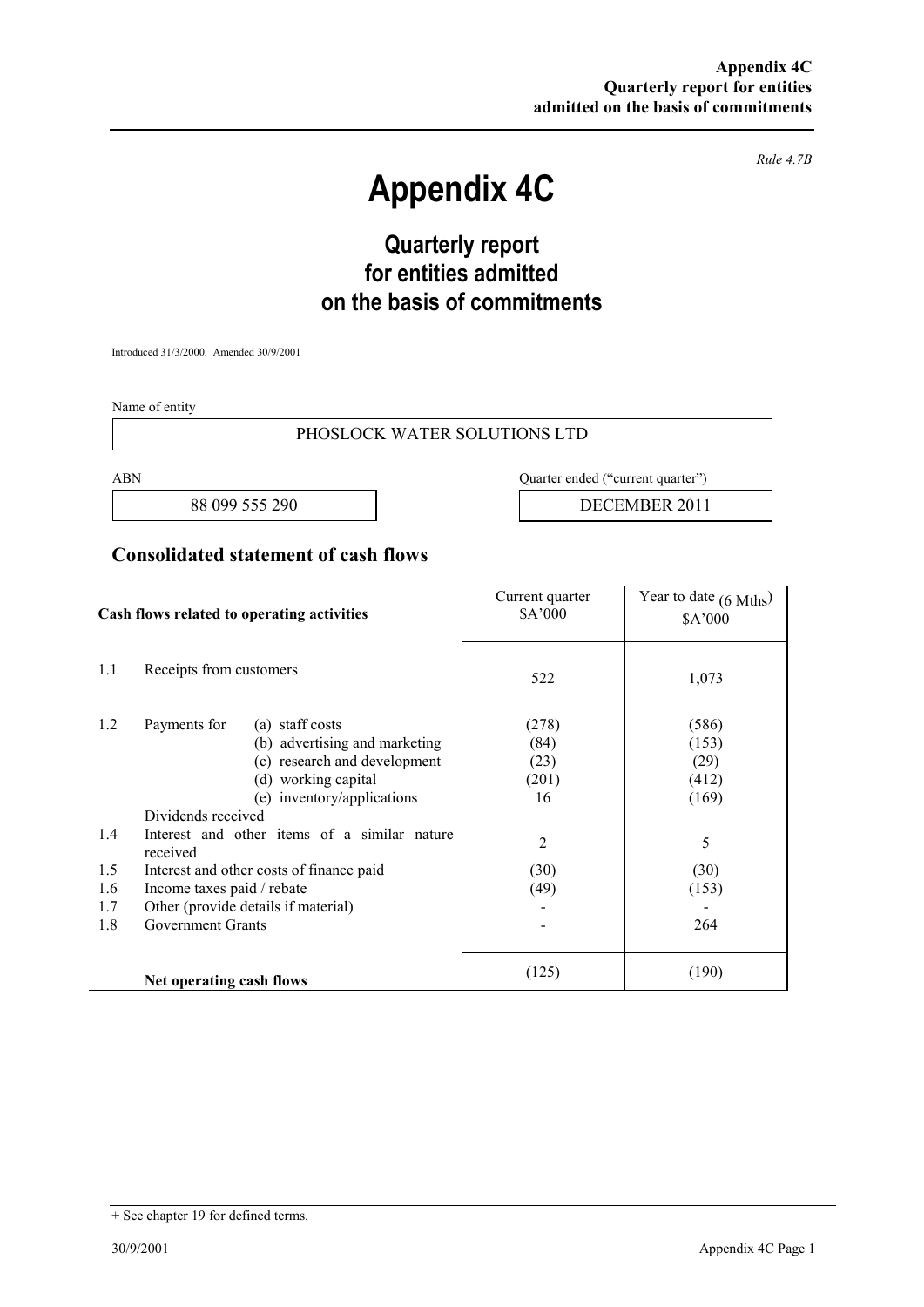*Rule 4.7B* 

# **Appendix 4C**

# **Quarterly report for entities admitted on the basis of commitments**

Introduced 31/3/2000. Amended 30/9/2001

Name of entity

#### PHOSLOCK WATER SOLUTIONS LTD

ABN Quarter ended ("current quarter")

88 099 555 290 **DECEMBER 2011** 

### **Consolidated statement of cash flows**

| Cash flows related to operating activities |                                                                                                                                                                                                                             | Current quarter<br>\$A'000           | Year to date $(6 \text{ Mths})$<br>\$A'000 |
|--------------------------------------------|-----------------------------------------------------------------------------------------------------------------------------------------------------------------------------------------------------------------------------|--------------------------------------|--------------------------------------------|
| 1.1                                        | Receipts from customers                                                                                                                                                                                                     | 522                                  | 1,073                                      |
| 1.2<br>1.4                                 | Payments for<br>(a) staff costs<br>(b) advertising and marketing<br>(c) research and development<br>(d) working capital<br>(e) inventory/applications<br>Dividends received<br>Interest and other items of a similar nature | (278)<br>(84)<br>(23)<br>(201)<br>16 | (586)<br>(153)<br>(29)<br>(412)<br>(169)   |
|                                            | received                                                                                                                                                                                                                    | $\overline{2}$                       | 5                                          |
| 1.5                                        | Interest and other costs of finance paid                                                                                                                                                                                    | (30)                                 | (30)                                       |
| 1.6                                        | Income taxes paid / rebate                                                                                                                                                                                                  | (49)                                 | (153)                                      |
| 1.7                                        | Other (provide details if material)                                                                                                                                                                                         |                                      |                                            |
| 1.8                                        | <b>Government Grants</b>                                                                                                                                                                                                    |                                      | 264                                        |
|                                            | Net operating cash flows                                                                                                                                                                                                    | (125)                                | (190)                                      |

<sup>+</sup> See chapter 19 for defined terms.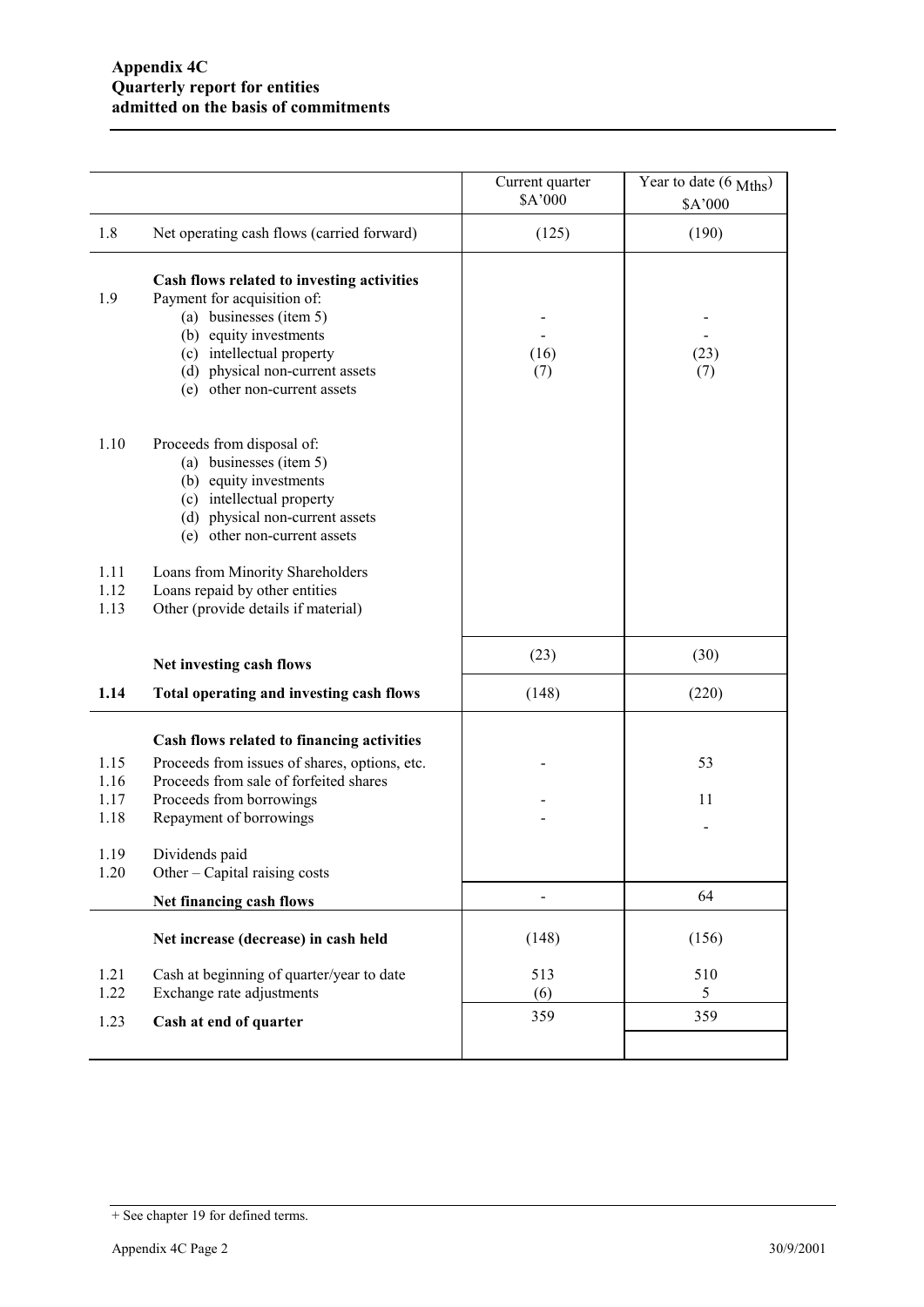|                              |                                                                                                                                                                                                                                | Current quarter<br>\$A'000 | Year to date (6 Mths)<br>\$A'000 |
|------------------------------|--------------------------------------------------------------------------------------------------------------------------------------------------------------------------------------------------------------------------------|----------------------------|----------------------------------|
| 1.8                          | Net operating cash flows (carried forward)                                                                                                                                                                                     | (125)                      | (190)                            |
| 1.9                          | Cash flows related to investing activities<br>Payment for acquisition of:<br>(a) businesses (item 5)<br>(b) equity investments<br>(c) intellectual property<br>(d) physical non-current assets<br>(e) other non-current assets | (16)<br>(7)                | (23)<br>(7)                      |
| 1.10                         | Proceeds from disposal of:<br>(a) businesses (item 5)<br>(b) equity investments<br>(c) intellectual property<br>(d) physical non-current assets<br>(e) other non-current assets                                                |                            |                                  |
| 1.11<br>1.12<br>1.13         | Loans from Minority Shareholders<br>Loans repaid by other entities<br>Other (provide details if material)                                                                                                                      |                            |                                  |
|                              | Net investing cash flows                                                                                                                                                                                                       | (23)                       | (30)                             |
| 1.14                         | Total operating and investing cash flows                                                                                                                                                                                       | (148)                      | (220)                            |
| 1.15<br>1.16<br>1.17<br>1.18 | Cash flows related to financing activities<br>Proceeds from issues of shares, options, etc.<br>Proceeds from sale of forfeited shares<br>Proceeds from borrowings<br>Repayment of borrowings                                   |                            | 53<br>11                         |
| 1.19<br>1.20                 | Dividends paid<br>Other – Capital raising costs                                                                                                                                                                                |                            |                                  |
|                              | Net financing cash flows                                                                                                                                                                                                       |                            | 64                               |
|                              | Net increase (decrease) in cash held                                                                                                                                                                                           | (148)                      | (156)                            |
| 1.21<br>1.22                 | Cash at beginning of quarter/year to date<br>Exchange rate adjustments                                                                                                                                                         | 513<br>(6)                 | 510<br>5                         |
| 1.23                         | Cash at end of quarter                                                                                                                                                                                                         | 359                        | 359                              |
|                              |                                                                                                                                                                                                                                |                            |                                  |

<sup>+</sup> See chapter 19 for defined terms.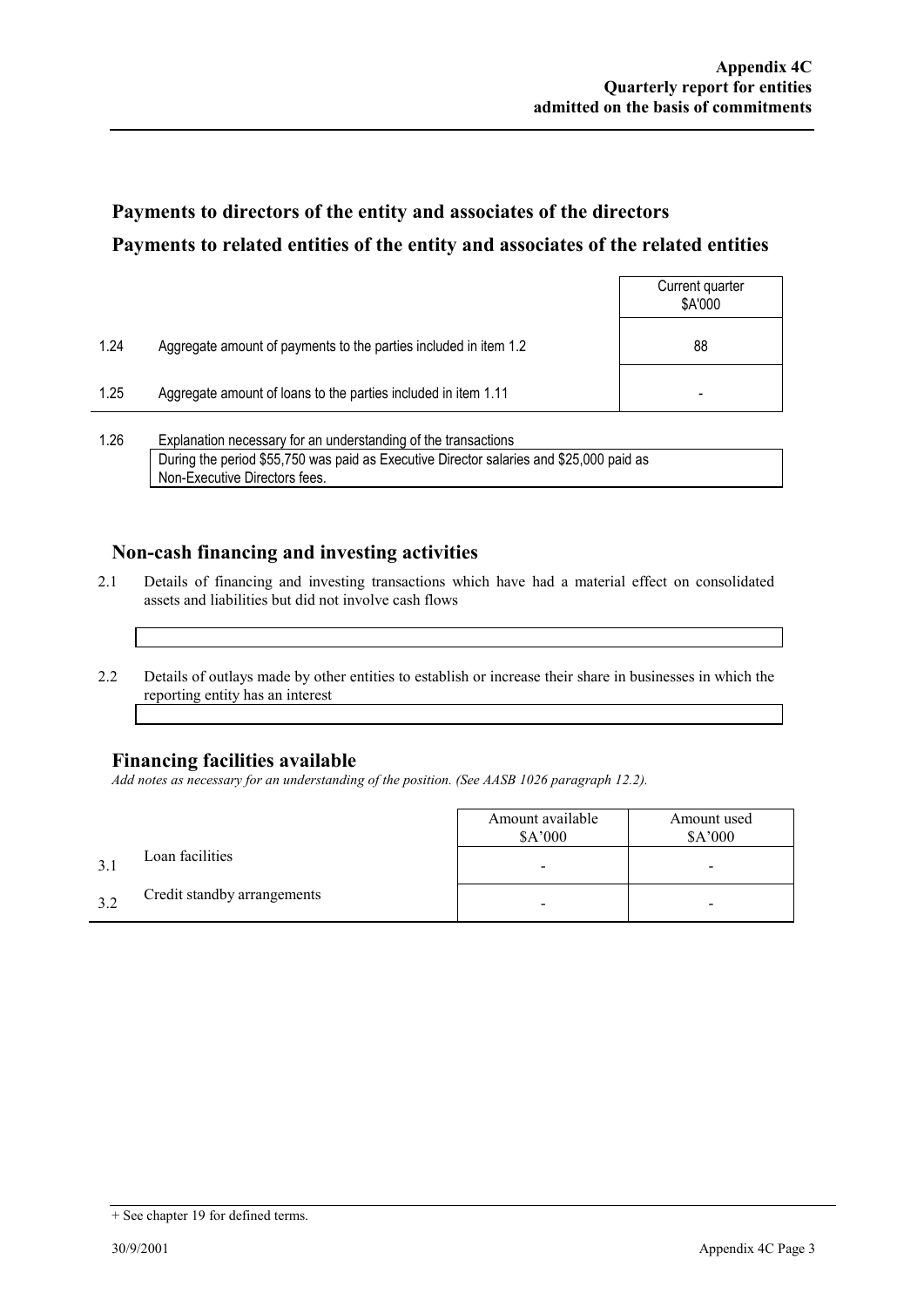## **Payments to directors of the entity and associates of the directors Payments to related entities of the entity and associates of the related entities**

|      |                                                                  | Current quarter<br>\$A'000 |
|------|------------------------------------------------------------------|----------------------------|
| 1.24 | Aggregate amount of payments to the parties included in item 1.2 | 88                         |
| 1.25 | Aggregate amount of loans to the parties included in item 1.11   |                            |
|      |                                                                  |                            |

1.26 Explanation necessary for an understanding of the transactions During the period \$55,750 was paid as Executive Director salaries and \$25,000 paid as Non-Executive Directors fees.

### **Non-cash financing and investing activities**

- 2.1 Details of financing and investing transactions which have had a material effect on consolidated assets and liabilities but did not involve cash flows
- 2.2 Details of outlays made by other entities to establish or increase their share in businesses in which the reporting entity has an interest

#### **Financing facilities available**

*Add notes as necessary for an understanding of the position. (See AASB 1026 paragraph 12.2).* 

|    |                             | Amount available<br>\$A'000 | Amount used<br>\$A'000 |
|----|-----------------------------|-----------------------------|------------------------|
|    | Loan facilities             |                             | -                      |
| 32 | Credit standby arrangements |                             | -                      |

<sup>+</sup> See chapter 19 for defined terms.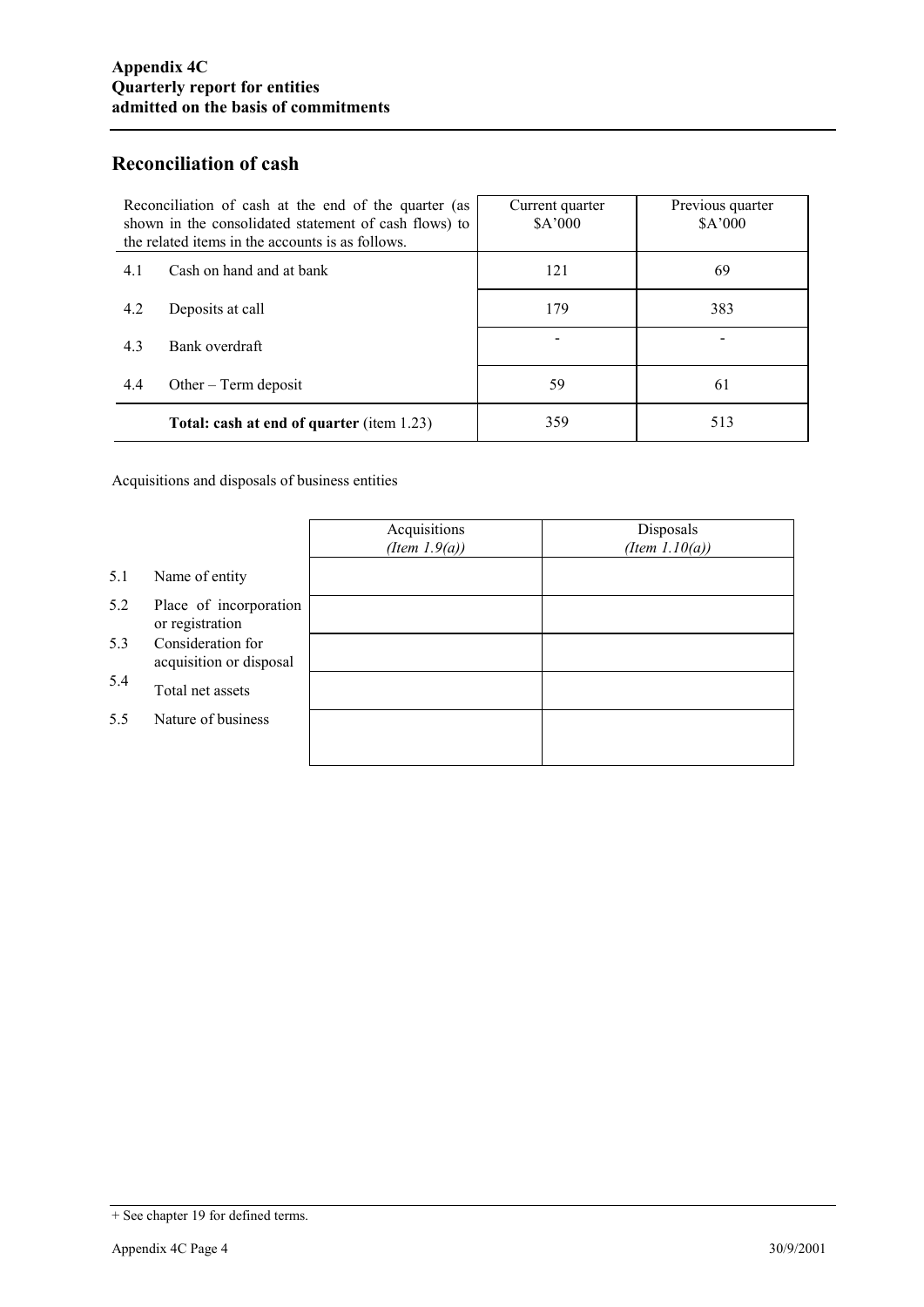### **Reconciliation of cash**

| Reconciliation of cash at the end of the quarter (as<br>shown in the consolidated statement of cash flows) to<br>the related items in the accounts is as follows. | Current quarter<br>\$A'000 | Previous quarter<br>\$A'000 |
|-------------------------------------------------------------------------------------------------------------------------------------------------------------------|----------------------------|-----------------------------|
| Cash on hand and at bank<br>4.1                                                                                                                                   | 121                        | 69                          |
| 4.2<br>Deposits at call                                                                                                                                           | 179                        | 383                         |
| 4.3<br>Bank overdraft                                                                                                                                             |                            |                             |
| 4.4<br>Other $-$ Term deposit                                                                                                                                     | 59                         | 61                          |
| <b>Total: cash at end of quarter (item 1.23)</b>                                                                                                                  | 359                        | 513                         |

Acquisitions and disposals of business entities

|     |                                              | Acquisitions<br>(Item $1.9(a)$ ) | Disposals<br>(Item $1.10(a)$ ) |
|-----|----------------------------------------------|----------------------------------|--------------------------------|
| 5.1 | Name of entity                               |                                  |                                |
| 5.2 | Place of incorporation<br>or registration    |                                  |                                |
| 5.3 | Consideration for<br>acquisition or disposal |                                  |                                |
| 5.4 | Total net assets                             |                                  |                                |
| 5.5 | Nature of business                           |                                  |                                |
|     |                                              |                                  |                                |

<sup>+</sup> See chapter 19 for defined terms.